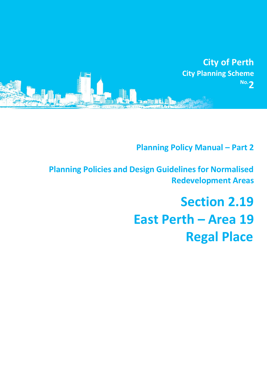

**Planning Policy Manual - Part 2** 

**Planning Policies and Design Guidelines for Normalised Redevelopment Areas**

# **Section 2.19 East Perth – Area 19 Regal Place**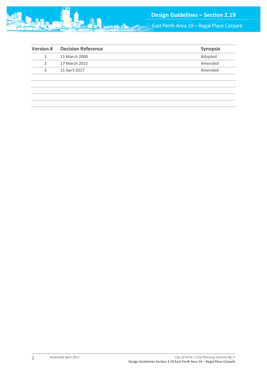

East Perth Area 19 – Regal Place Carpark

|               | <b>Synopsis</b> |
|---------------|-----------------|
| 11 March 2008 | Adopted         |
| 17 March 2015 | Amended         |
| 11 April 2017 | Amended         |
|               |                 |
|               |                 |
|               |                 |
|               |                 |
|               |                 |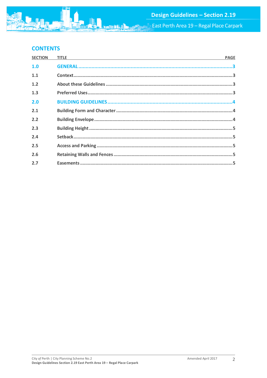

# **CONTENTS**

| <b>SECTION</b> | <b>TITLE</b><br><u> 1989 - Johann Stoff, amerikansk politiker (d. 1989)</u> | <b>PAGE</b> |
|----------------|-----------------------------------------------------------------------------|-------------|
| 1.0            |                                                                             |             |
| 1.1            |                                                                             |             |
| 1.2            |                                                                             |             |
| 1.3            |                                                                             |             |
| 2.0            |                                                                             |             |
| 2.1            |                                                                             |             |
| 2.2            |                                                                             |             |
| 2.3            |                                                                             |             |
| 2.4            |                                                                             |             |
| 2.5            |                                                                             |             |
| 2.6            |                                                                             |             |
| 2.7            |                                                                             |             |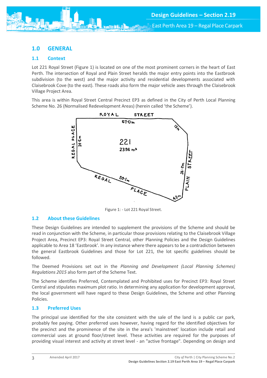# <span id="page-3-0"></span>**1.0 GENERAL**

## <span id="page-3-1"></span>**1.1 Context**

Lot 221 Royal Street (Figure 1) is located on one of the most prominent corners in the heart of East Perth. The intersection of Royal and Plain Street heralds the major entry points into the Eastbrook subdivision (to the west) and the major activity and residential developments associated with Claisebrook Cove (to the east). These roads also form the major vehicle axes through the Claisebrook Village Project Area.

This area is within Royal Street Central Precinct EP3 as defined in the City of Perth Local Planning Scheme No. 26 (Normalised Redevelopment Areas) (herein called 'the Scheme').



Figure 1: - Lot 221 Royal Street.

#### <span id="page-3-2"></span>**1.2 About these Guidelines**

These Design Guidelines are intended to supplement the provisions of the Scheme and should be read in conjunction with the Scheme, in particular those provisions relating to the Claisebrook Village Project Area, Precinct EP3: Royal Street Central, other Planning Policies and the Design Guidelines applicable to Area 18 'Eastbrook'. In any instance where there appears to be a contradiction between the general Eastbrook Guidelines and those for Lot 221, the lot specific guidelines should be followed.

The Deemed Provisions set out in the *Planning and Development (Local Planning Schemes) Regulations 2015* also form part of the Scheme Text.

The Scheme identifies Preferred, Contemplated and Prohibited uses for Precinct EP3: Royal Street Central and stipulates maximum plot ratio. In determining any application for development approval, the local government will have regard to these Design Guidelines, the Scheme and other Planning Policies.

### <span id="page-3-3"></span>**1.3 Preferred Uses**

The principal use identified for the site consistent with the sale of the land is a public car park, probably fee paying. Other preferred uses however, having regard for the identified objectives for the precinct and the prominence of the site in the area's 'mainstreet' location include retail and commercial uses at ground floor/street level. These activities are required for the purposes of providing visual interest and activity at street level - an "active frontage". Depending on design and

3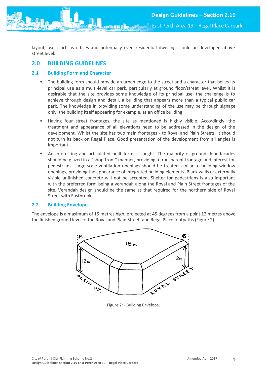

East Perth Area 19 – Regal Place Carpark

layout, uses such as offices and potentially even residential dwellings could be developed above street level.

# <span id="page-4-0"></span>**2.0 BUILDING GUIDELINES**

## <span id="page-4-1"></span>**2.1 Building Form and Character**

- The building form should provide an urban edge to the street and a character that belies its principal use as a multi-level car park, particularly at ground floor/street level. Whilst it is desirable that the site provides some knowledge of its principal use, the challenge is to achieve through design and detail, a building that appears more than a typical public car park. The knowledge in providing some understanding of the use may be through signage only, the building itself appearing for example, as an office building.
- Having four street frontages, the site as mentioned is highly visible. Accordingly, the treatment and appearance of all elevations need to be addressed in the design of the development. Whilst the site has two main frontages - to Royal and Plain Streets, it should not turn its back on Regal Place. Good presentation of the development from all angles is important.
- An interesting and articulated built form is sought. The majority of ground floor facades should be glazed in a "shop-front" manner, providing a transparent frontage and interest for pedestrians. Large scale ventilation openings should be treated similar to building window openings, providing the appearance of integrated building elements. Blank walls or externally visible unfinished concrete will not be accepted. Shelter for pedestrians is also important with the preferred form being a verandah along the Royal and Plain Street frontages of the site. Verandah design should be the same as that required for the northern side of Royal Street with Eastbrook.

### <span id="page-4-2"></span>**2.2 Building Envelope**

The envelope is a maximum of 15 metres high, projected at 45 degrees from a point 12 metres above the finished ground level of the Royal and Plain Street, and Regal Place footpaths (Figure 2).



Figure 2: - Building Envelope.